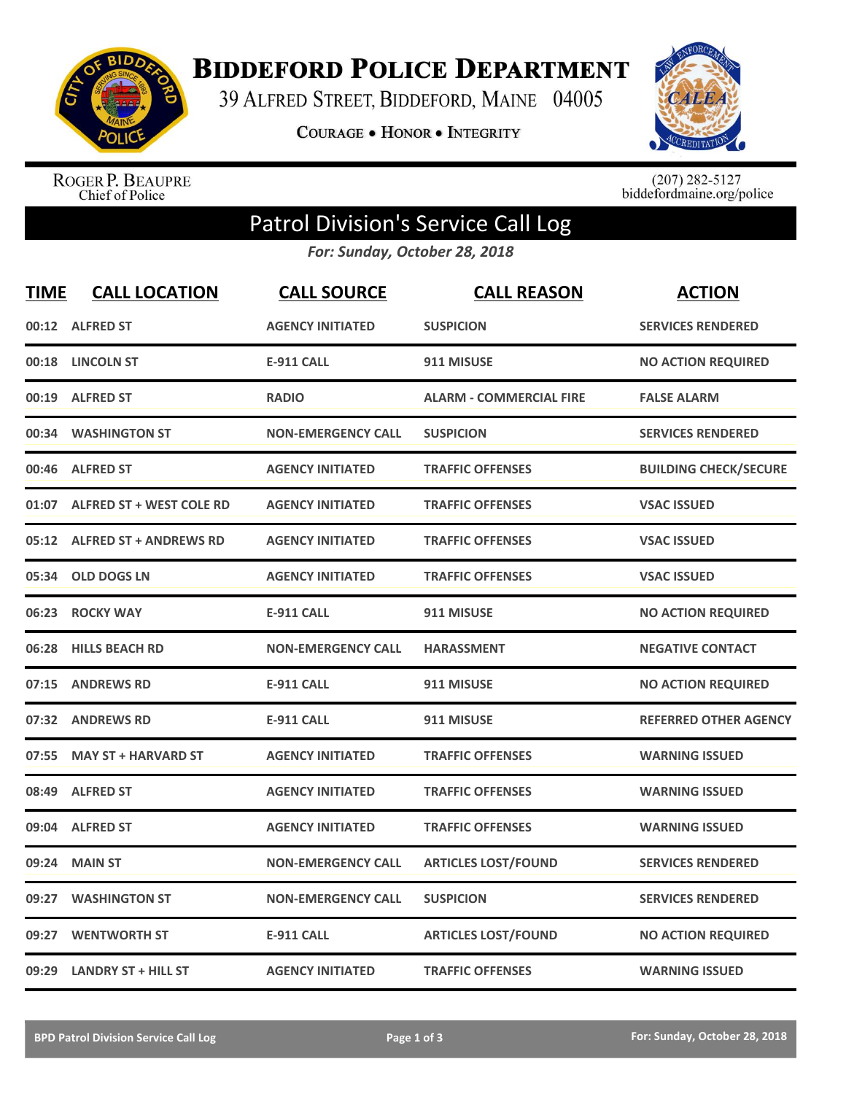

**BIDDEFORD POLICE DEPARTMENT** 

39 ALFRED STREET, BIDDEFORD, MAINE 04005

COURAGE . HONOR . INTEGRITY



ROGER P. BEAUPRE<br>Chief of Police

 $(207)$  282-5127<br>biddefordmaine.org/police

## Patrol Division's Service Call Log

*For: Sunday, October 28, 2018*

| <b>TIME</b> | <b>CALL LOCATION</b>           | <b>CALL SOURCE</b>        | <b>CALL REASON</b>             | <b>ACTION</b>                |
|-------------|--------------------------------|---------------------------|--------------------------------|------------------------------|
|             | 00:12 ALFRED ST                | <b>AGENCY INITIATED</b>   | <b>SUSPICION</b>               | <b>SERVICES RENDERED</b>     |
|             | 00:18 LINCOLN ST               | <b>E-911 CALL</b>         | 911 MISUSE                     | <b>NO ACTION REQUIRED</b>    |
|             | 00:19 ALFRED ST                | <b>RADIO</b>              | <b>ALARM - COMMERCIAL FIRE</b> | <b>FALSE ALARM</b>           |
| 00:34       | <b>WASHINGTON ST</b>           | <b>NON-EMERGENCY CALL</b> | <b>SUSPICION</b>               | <b>SERVICES RENDERED</b>     |
| 00:46       | <b>ALFRED ST</b>               | <b>AGENCY INITIATED</b>   | <b>TRAFFIC OFFENSES</b>        | <b>BUILDING CHECK/SECURE</b> |
|             | 01:07 ALFRED ST + WEST COLE RD | <b>AGENCY INITIATED</b>   | <b>TRAFFIC OFFENSES</b>        | <b>VSAC ISSUED</b>           |
|             | 05:12 ALFRED ST + ANDREWS RD   | <b>AGENCY INITIATED</b>   | <b>TRAFFIC OFFENSES</b>        | <b>VSAC ISSUED</b>           |
| 05:34       | <b>OLD DOGS LN</b>             | <b>AGENCY INITIATED</b>   | <b>TRAFFIC OFFENSES</b>        | <b>VSAC ISSUED</b>           |
| 06:23       | <b>ROCKY WAY</b>               | <b>E-911 CALL</b>         | 911 MISUSE                     | <b>NO ACTION REQUIRED</b>    |
| 06:28       | <b>HILLS BEACH RD</b>          | <b>NON-EMERGENCY CALL</b> | <b>HARASSMENT</b>              | <b>NEGATIVE CONTACT</b>      |
|             | 07:15 ANDREWS RD               | <b>E-911 CALL</b>         | 911 MISUSE                     | <b>NO ACTION REQUIRED</b>    |
|             | 07:32 ANDREWS RD               | <b>E-911 CALL</b>         | 911 MISUSE                     | <b>REFERRED OTHER AGENCY</b> |
| 07:55       | <b>MAY ST + HARVARD ST</b>     | <b>AGENCY INITIATED</b>   | <b>TRAFFIC OFFENSES</b>        | <b>WARNING ISSUED</b>        |
| 08:49       | <b>ALFRED ST</b>               | <b>AGENCY INITIATED</b>   | <b>TRAFFIC OFFENSES</b>        | <b>WARNING ISSUED</b>        |
| 09:04       | <b>ALFRED ST</b>               | <b>AGENCY INITIATED</b>   | <b>TRAFFIC OFFENSES</b>        | <b>WARNING ISSUED</b>        |
| 09:24       | <b>MAIN ST</b>                 | <b>NON-EMERGENCY CALL</b> | <b>ARTICLES LOST/FOUND</b>     | <b>SERVICES RENDERED</b>     |
| 09:27       | <b>WASHINGTON ST</b>           | <b>NON-EMERGENCY CALL</b> | <b>SUSPICION</b>               | <b>SERVICES RENDERED</b>     |
| 09:27       | <b>WENTWORTH ST</b>            | <b>E-911 CALL</b>         | <b>ARTICLES LOST/FOUND</b>     | <b>NO ACTION REQUIRED</b>    |
|             | 09:29 LANDRY ST + HILL ST      | <b>AGENCY INITIATED</b>   | <b>TRAFFIC OFFENSES</b>        | <b>WARNING ISSUED</b>        |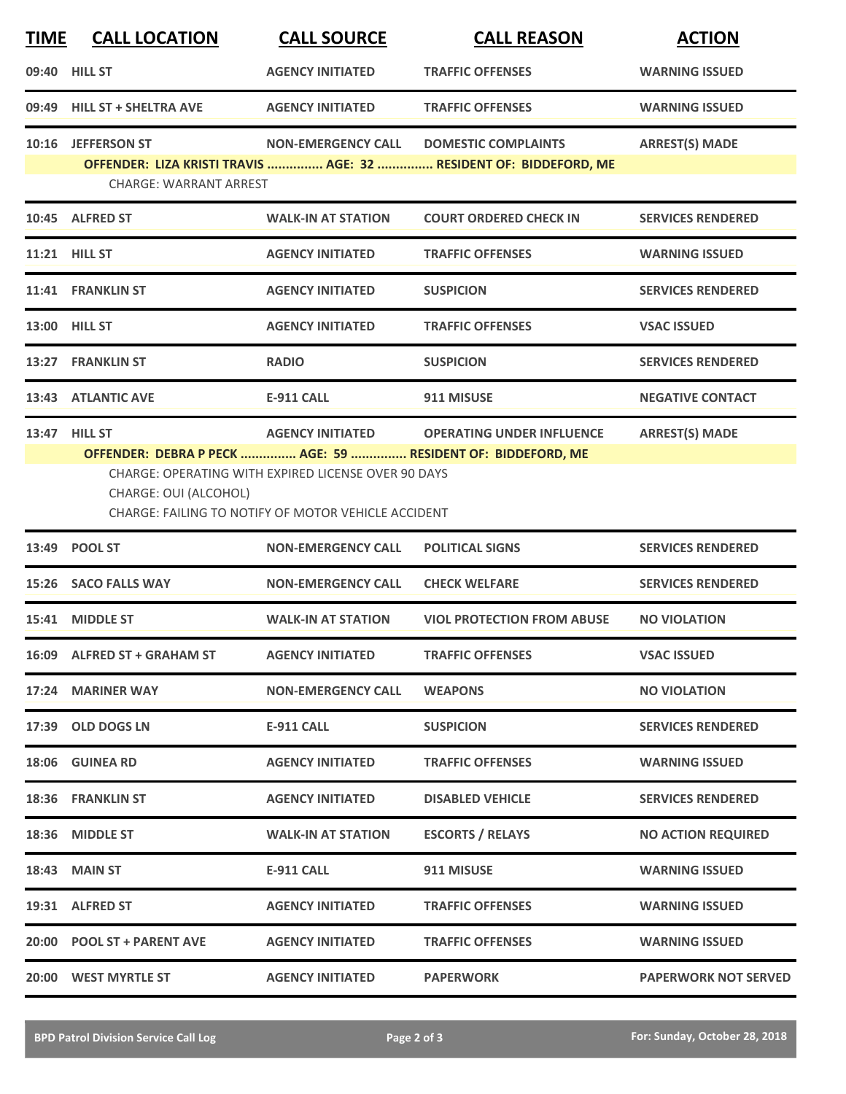| <b>TIME</b> | <b>CALL LOCATION</b>          | <b>CALL SOURCE</b>                                                                                                | <b>CALL REASON</b>                                                | <b>ACTION</b>               |
|-------------|-------------------------------|-------------------------------------------------------------------------------------------------------------------|-------------------------------------------------------------------|-----------------------------|
|             | 09:40 HILL ST                 | <b>AGENCY INITIATED</b>                                                                                           | <b>TRAFFIC OFFENSES</b>                                           | <b>WARNING ISSUED</b>       |
| 09:49       | <b>HILL ST + SHELTRA AVE</b>  | <b>AGENCY INITIATED</b>                                                                                           | <b>TRAFFIC OFFENSES</b>                                           | <b>WARNING ISSUED</b>       |
| 10:16       | <b>JEFFERSON ST</b>           | <b>NON-EMERGENCY CALL</b>                                                                                         | <b>DOMESTIC COMPLAINTS</b>                                        | <b>ARREST(S) MADE</b>       |
|             | <b>CHARGE: WARRANT ARREST</b> |                                                                                                                   | OFFENDER: LIZA KRISTI TRAVIS  AGE: 32  RESIDENT OF: BIDDEFORD, ME |                             |
|             | 10:45 ALFRED ST               | <b>WALK-IN AT STATION</b>                                                                                         | <b>COURT ORDERED CHECK IN</b>                                     | <b>SERVICES RENDERED</b>    |
|             | 11:21 HILL ST                 | <b>AGENCY INITIATED</b>                                                                                           | <b>TRAFFIC OFFENSES</b>                                           | <b>WARNING ISSUED</b>       |
|             | 11:41 FRANKLIN ST             | <b>AGENCY INITIATED</b>                                                                                           | <b>SUSPICION</b>                                                  | <b>SERVICES RENDERED</b>    |
|             | 13:00 HILL ST                 | <b>AGENCY INITIATED</b>                                                                                           | <b>TRAFFIC OFFENSES</b>                                           | <b>VSAC ISSUED</b>          |
|             | 13:27 FRANKLIN ST             | <b>RADIO</b>                                                                                                      | <b>SUSPICION</b>                                                  | <b>SERVICES RENDERED</b>    |
|             | 13:43 ATLANTIC AVE            | <b>E-911 CALL</b>                                                                                                 | 911 MISUSE                                                        | <b>NEGATIVE CONTACT</b>     |
|             | 13:47 HILL ST                 | <b>AGENCY INITIATED</b>                                                                                           | <b>OPERATING UNDER INFLUENCE</b>                                  | <b>ARREST(S) MADE</b>       |
|             | CHARGE: OUI (ALCOHOL)         | <b>CHARGE: OPERATING WITH EXPIRED LICENSE OVER 90 DAYS</b><br>CHARGE: FAILING TO NOTIFY OF MOTOR VEHICLE ACCIDENT | OFFENDER: DEBRA P PECK  AGE: 59  RESIDENT OF: BIDDEFORD, ME       |                             |
|             | 13:49 POOL ST                 | <b>NON-EMERGENCY CALL</b>                                                                                         | <b>POLITICAL SIGNS</b>                                            | <b>SERVICES RENDERED</b>    |
| 15:26       | <b>SACO FALLS WAY</b>         | <b>NON-EMERGENCY CALL</b>                                                                                         | <b>CHECK WELFARE</b>                                              | <b>SERVICES RENDERED</b>    |
| 15:41       | <b>MIDDLE ST</b>              | <b>WALK-IN AT STATION</b>                                                                                         | <b>VIOL PROTECTION FROM ABUSE</b>                                 | <b>NO VIOLATION</b>         |
|             | 16:09 ALFRED ST + GRAHAM ST   | <b>AGENCY INITIATED</b>                                                                                           | <b>TRAFFIC OFFENSES</b>                                           | <b>VSAC ISSUED</b>          |
|             | 17:24 MARINER WAY             | <b>NON-EMERGENCY CALL</b>                                                                                         | <b>WEAPONS</b>                                                    | <b>NO VIOLATION</b>         |
|             | 17:39 OLD DOGS LN             | <b>E-911 CALL</b>                                                                                                 | <b>SUSPICION</b>                                                  | <b>SERVICES RENDERED</b>    |
|             | 18:06 GUINEA RD               | <b>AGENCY INITIATED</b>                                                                                           | <b>TRAFFIC OFFENSES</b>                                           | <b>WARNING ISSUED</b>       |
|             | 18:36 FRANKLIN ST             | <b>AGENCY INITIATED</b>                                                                                           | <b>DISABLED VEHICLE</b>                                           | <b>SERVICES RENDERED</b>    |
|             | 18:36 MIDDLE ST               | <b>WALK-IN AT STATION</b>                                                                                         | <b>ESCORTS / RELAYS</b>                                           | <b>NO ACTION REQUIRED</b>   |
|             | <b>18:43 MAIN ST</b>          | <b>E-911 CALL</b>                                                                                                 | 911 MISUSE                                                        | <b>WARNING ISSUED</b>       |
|             | 19:31 ALFRED ST               | <b>AGENCY INITIATED</b>                                                                                           | <b>TRAFFIC OFFENSES</b>                                           | <b>WARNING ISSUED</b>       |
|             | 20:00 POOL ST + PARENT AVE    | <b>AGENCY INITIATED</b>                                                                                           | <b>TRAFFIC OFFENSES</b>                                           | <b>WARNING ISSUED</b>       |
|             | 20:00 WEST MYRTLE ST          | <b>AGENCY INITIATED</b>                                                                                           | <b>PAPERWORK</b>                                                  | <b>PAPERWORK NOT SERVED</b> |